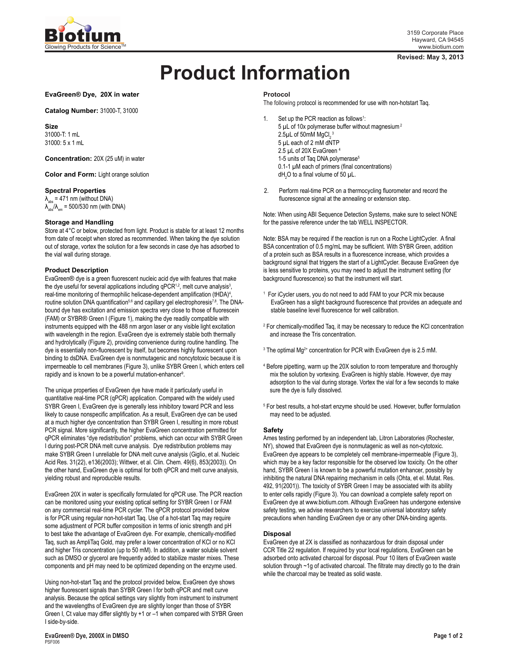

### **Revised: May 3, 2013**

# **Product Information**

**EvaGreen® Dye, 20X in water**

**Catalog Number:** 31000-T, 31000

**Size** 31000-T: 1 mL 31000: 5 x 1 mL

**Concentration:** 20X (25 uM) in water

**Color and Form:** Light orange solution

## **Spectral Properties**

 $\lambda_{\text{abs}}$  = 471 nm (without DNA)  $\lambda_{\text{abs}}^{\text{max}}/\lambda_{\text{em}}$  = 500/530 nm (with DNA)

## **Storage and Handling**

Store at 4°C or below, protected from light. Product is stable for at least 12 months from date of receipt when stored as recommended. When taking the dye solution out of storage, vortex the solution for a few seconds in case dye has adsorbed to the vial wall during storage.

# **Product Description**

EvaGreen® dye is a green fluorescent nucleic acid dye with features that make the dye useful for several applications including qPCR<sup>1,2</sup>, melt curve analysis<sup>3</sup>, real-time monitoring of thermophilic helicase-dependent amplification (tHDA)<sup>4</sup> , routine solution DNA quantification<sup>5,6</sup> and capillary gel electrophoresis<sup>7,8</sup>. The DNAbound dye has excitation and emission spectra very close to those of fluorescein (FAM) or SYBR® Green I (Figure 1), making the dye readily compatible with instruments equipped with the 488 nm argon laser or any visible light excitation with wavelength in the region. EvaGreen dye is extremely stable both thermally and hydrolytically (Figure 2), providing convenience during routine handling. The dye is essentially non-fluorescent by itself, but becomes highly fluorescent upon binding to dsDNA. EvaGreen dye is nonmutagenic and noncytotoxic because it is impermeable to cell membranes (Figure 3), unlike SYBR Green I, which enters cell rapidly and is known to be a powerful mutation-enhancer<sup>9</sup>.

The unique properties of EvaGreen dye have made it particularly useful in quantitative real-time PCR (qPCR) application. Compared with the widely used SYBR Green I, EvaGreen dye is generally less inhibitory toward PCR and less likely to cause nonspecific amplification. As a result, EvaGreen dye can be used at a much higher dye concentration than SYBR Green I, resulting in more robust PCR signal. More significantly, the higher EvaGreen concentration permitted for qPCR eliminates "dye redistribution" problems, which can occur with SYBR Green I during post-PCR DNA melt curve analysis. Dye redistribution problems may make SYBR Green I unreliable for DNA melt curve analysis (Giglio, et al. Nucleic Acid Res. 31(22), e136(2003); Wittwer, et al. Clin. Chem. 49(6), 853(2003)). On the other hand, EvaGreen dye is optimal for both qPCR and melt curve analysis, yielding robust and reproducible results.

EvaGreen 20X in water is specifically formulated for qPCR use. The PCR reaction can be monitored using your existing optical setting for SYBR Green I or FAM on any commercial real-time PCR cycler. The qPCR protocol provided below is for PCR using regular non-hot-start Taq. Use of a hot-start Taq may require some adjustment of PCR buffer composition in terms of ionic strength and pH to best take the advantage of EvaGreen dye. For example, chemically-modified Taq, such as AmpliTaq Gold, may prefer a lower concentration of KCl or no KCl and higher Tris concentration (up to 50 mM). In addition, a water soluble solvent such as DMSO or glycerol are frequently added to stabilize master mixes. These components and pH may need to be optimized depending on the enzyme used.

Using non-hot-start Taq and the protocol provided below, EvaGreen dye shows higher fluorescent signals than SYBR Green I for both qPCR and melt curve analysis. Because the optical settings vary slightly from instrument to instrument and the wavelengths of EvaGreen dye are slightly longer than those of SYBR Green I, Ct value may differ slightly by +1 or –1 when compared with SYBR Green I side-by-side.

#### **Protocol**

The following protocol is recommended for use with non-hotstart Taq.

- 1. Set up the PCR reaction as follows<sup>1</sup>: 5 µL of 10x polymerase buffer without magnesium 2  $2.5$ µL of 50mM MgCl $_2^{\,3}$ 5 µL each of 2 mM dNTP 2.5 µL of 20X EvaGreen 4 1-5 units of Taq DNA polymerase<sup>5</sup> 0.1-1 µM each of primers (final concentrations) dH<sub>2</sub>O to a final volume of 50  $\mu$ L.
- 2. Perform real-time PCR on a thermocycling fluorometer and record the fluorescence signal at the annealing or extension step.

Note: When using ABI Sequence Detection Systems, make sure to select NONE for the passive reference under the tab WELL INSPECTOR.

Note: BSA may be required if the reaction is run on a Roche LightCycler. A final BSA concentration of 0.5 mg/mL may be sufficient. With SYBR Green, addition of a protein such as BSA results in a fluorescence increase, which provides a background signal that triggers the start of a LightCycler. Because EvaGreen dye is less sensitive to proteins, you may need to adjust the instrument setting (for background fluorescence) so that the instrument will start.

- <sup>1</sup> For iCycler users, you do not need to add FAM to your PCR mix because EvaGreen has a slight background fluorescence that provides an adequate and stable baseline level fluorescence for well calibration.
- <sup>2</sup> For chemically-modified Taq, it may be necessary to reduce the KCI concentration and increase the Tris concentration.
- $3$  The optimal Mg<sup>2+</sup> concentration for PCR with EvaGreen dye is 2.5 mM.
- <sup>4</sup> Before pipetting, warm up the 20X solution to room temperature and thoroughly mix the solution by vortexing. EvaGreen is highly stable. However, dye may adsorption to the vial during storage. Vortex the vial for a few seconds to make sure the dye is fully dissolved.
- <sup>5</sup> For best results, a hot-start enzyme should be used. However, buffer formulation may need to be adjusted.

## **Safety**

Ames testing performed by an independent lab, Litron Laboratories (Rochester, NY), showed that EvaGreen dye is nonmutagenic as well as non-cytotoxic. EvaGreen dye appears to be completely cell membrane-impermeable (Figure 3), which may be a key factor responsible for the observed low toxicity. On the other hand, SYBR Green I is known to be a powerful mutation enhancer, possibly by inhibiting the natural DNA repairing mechanism in cells (Ohta, et el. Mutat. Res. 492, 91(2001)). The toxicity of SYBR Green I may be associated with its ability to enter cells rapidly (Figure 3). You can download a complete safety report on EvaGreen dye at www.biotium.com. Although EvaGreen has undergone extensive safety testing, we advise researchers to exercise universal laboratory safety precautions when handling EvaGreen dye or any other DNA-binding agents.

#### **Disposal**

EvaGreen dye at 2X is classified as nonhazardous for drain disposal under CCR Title 22 regulation. If required by your local regulations, EvaGreen can be adsorbed onto activated charcoal for disposal. Pour 10 liters of EvaGreen waste solution through ~1g of activated charcoal. The filtrate may directly go to the drain while the charcoal may be treated as solid waste.